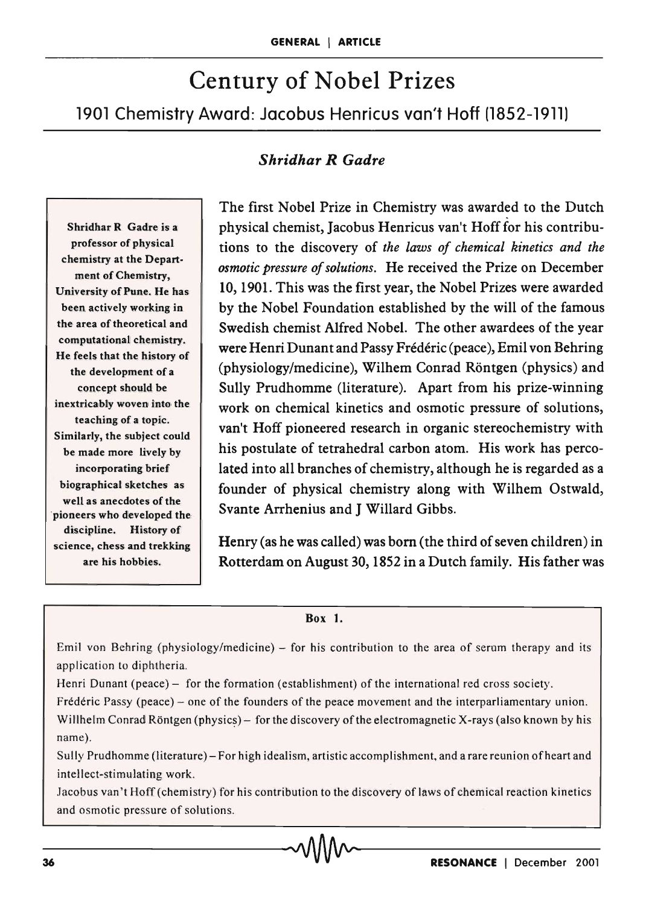# Century of Nobel Prizes 1901 Chemistry Award: Jacobus Henricus van't Hoff (1852-1911)

## *Shridhar R Gadre*

Shridhar R Gadre is a professor of physical chemistry at the Department of Chemistry, University of Pune. He has been actively working in the area of theoretical and computational chemistry. He feels that the history of the development of a concept should be inextricably woven into the teaching of a topic. Similarly, the subject could be made more lively by incorporating brief biographical sketches as well as anecdotes of the 'pioneers who developed the discipline. History of science, chess and trekking are his hobbies.

The first Nobel Prize in Chemistry was awarded to the Dutch physical chemist, Jacobus Henricus van't Hoff for his contributions to the discovery of *the laws of chemical kinetics and the osmotic pressure of solutions.* He received the Prize on December 10, 1901. This was the first year, the Nobel Prizes were awarded by the Nobel Foundation established by the will of the famous Swedish chemist Alfred Nobel. The other awardees of the year were Henri Dunant and Passy Frederic (peace), Emil von Behring (physiology/medicine), Wilhem Conrad Röntgen (physics) and Sully Prudhomme (literature). Apart from his prize-winning work on chemical kinetics and osmotic pressure of solutions, van't Hoff pioneered research in organic stereochemistry with his postulate of tetrahedral carbon atom. His work has percolated into all branches of chemistry, although he is regarded as a founder of physical chemistry along with Wilhem Ostwald, Svante Arrhenius and J Willard Gibbs.

Henry (as he was called) was born (the third of seven children) in Rotterdam on August 30, 1852 in a Dutch family. His father was

#### Box 1.

Emil von Behring (physiology/medicine) - for his contribution to the area of serum therapy and its application to diphtheria.

Henri Dunant (peace) – for the formation (establishment) of the international red cross society.

Frédéric Passy (peace) - one of the founders of the peace movement and the interparliamentary union. Willhelm Conrad Röntgen (physics) - for the discovery of the electromagnetic X-rays (also known by his name).

Sully Prudhomme (literature) - For high idealism, artistic accomplishment, and a rare reunion of heart and intellect-stimulating work.

Jacobus van't Hoff (chemistry) for his contribution to the discovery of laws of chemical reaction kinetics and osmotic pressure of solutions. \_\_\_\_\_\_ \_\_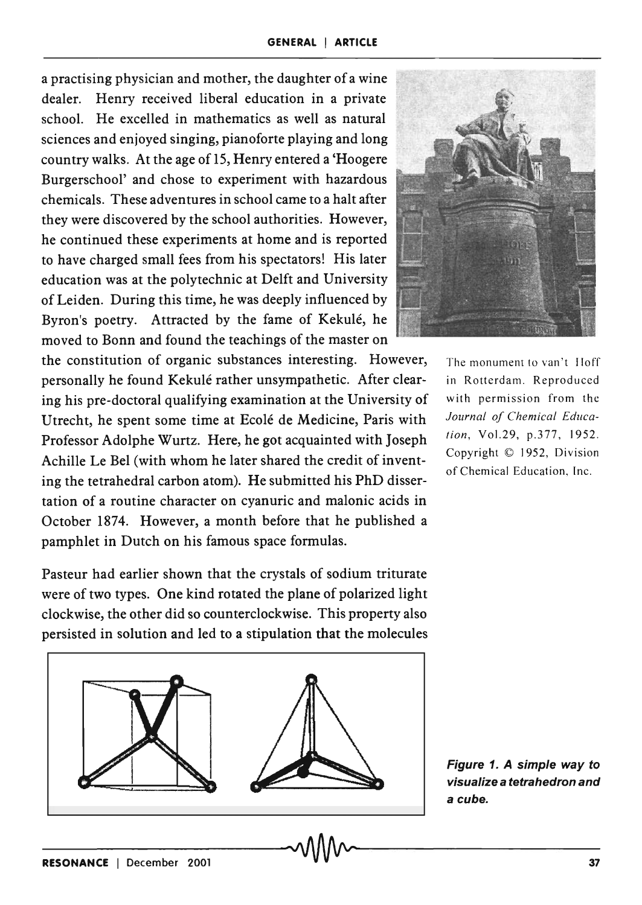a practising physician and mother, the daughter of a wine dealer. Henry received liberal education in a private school. He excelled in mathematics as well as natural sciences and enjoyed singing, pianoforte playing and long country walks. At the age of 15, Henry entered a 'Hoogere Burgerschool' and chose to experiment with hazardous chemicals. These adventures in school came to a halt after they were discovered by the school authorities. However, he continued these experiments at home and is reported to have charged small fees from his spectators! His later education was at the polytechnic at Delft and University of Leiden. During this time, he was deeply influenced by Byron's poetry. Attracted by the fame of Kekulé, he moved to Bonn and found the teachings of the master on

the constitution of organic substances interesting. However, personally he found Kekule rather unsympathetic. After clearing his pre-doctoral qualifying examination at the University of Utrecht, he spent some time at Ecolé de Medicine, Paris with Professor Adolphe Wurtz. Here, he got acquainted with Joseph Achille Le Bel (with whom he later shared the credit of inventing the tetrahedral carbon atom). He submitted his PhD dissertation of a routine character on cyanuric and malonic acids in October 1874. However, a month before that he published a pamphlet in Dutch on his famous space formulas.

Pasteur had earlier shown that the crystals of sodium triturate were of two types. One kind rotated the plane of polarized light clockwise, the other did so counterclockwise. This property also persisted in solution and led to a stipulation that the molecules





The monument to van't Iloff in Rotterdam. Reproduced with permission from the *Journal of Chemical Education,* Vo1.29, p.3 77, 1952. Copyright © 1952, Division of Chemical Education, Inc.

Figure 1. A simple way to visualize a tetrahedron and a cube.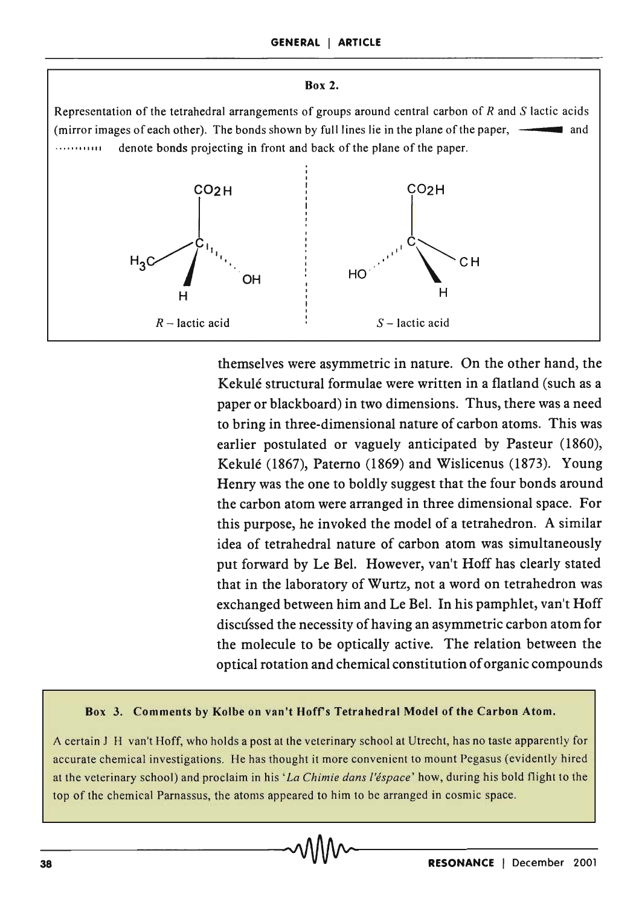#### Box 2.

Representation of the tetrahedral arrangements of groups around central carbon of *Rand* S lactic acids (mirror images of each other). The bonds shown by full lines lie in the plane of the paper, **•** and .••••• I "'" denote bonds projecting in front and back of the plane of the paper.



themselves were asymmetric in nature. On the other hand, the Kekulé structural formulae were written in a flatland (such as a paper or blackboard) in two dimensions. Thus, there was a need to bring in three-dimensional nature of carbon atoms. This was earlier postulated or vaguely anticipated by Pasteur (1860), Kekule (1867), Paterno (1869) and Wislicenus (1873). Young Henry was the one to boldly suggest that the four bonds around the carbon atom were arranged in three dimensional space. For this purpose, he invoked the model of a tetrahedron. A similar idea of tetrahedral nature of carbon atom was simultaneously put forward by Le Bel. However, van't Hoff has clearly stated that in the laboratory of Wurtz, not a word on tetrahedron was exchanged between him and Le Bel. In his pamphlet, van't Hoff discussed the necessity of having an asymmetric carbon atom for the molecule to be optically active. The relation between the optical rotation and chemical constitution of organic compounds

#### Box 3. Comments by Kolbe on van't Hofrs Tetrahedral Model of the Carbon Atom.

A certain.J H van't Hoff, who holds a post at the veterinary school at Utrecht, has no taste apparently for accurate chemical investigations. He has thought it more convenient to mount Pegasus (evidently hired at the veterinary school) and proclaim in his' *La Chimie dans !'espace'* how, during his bold flight to the top of the chemical Parnassus, the atoms appeared to him to be arranged in cosmic space.<br>
38 **RESONANCE** | December 2001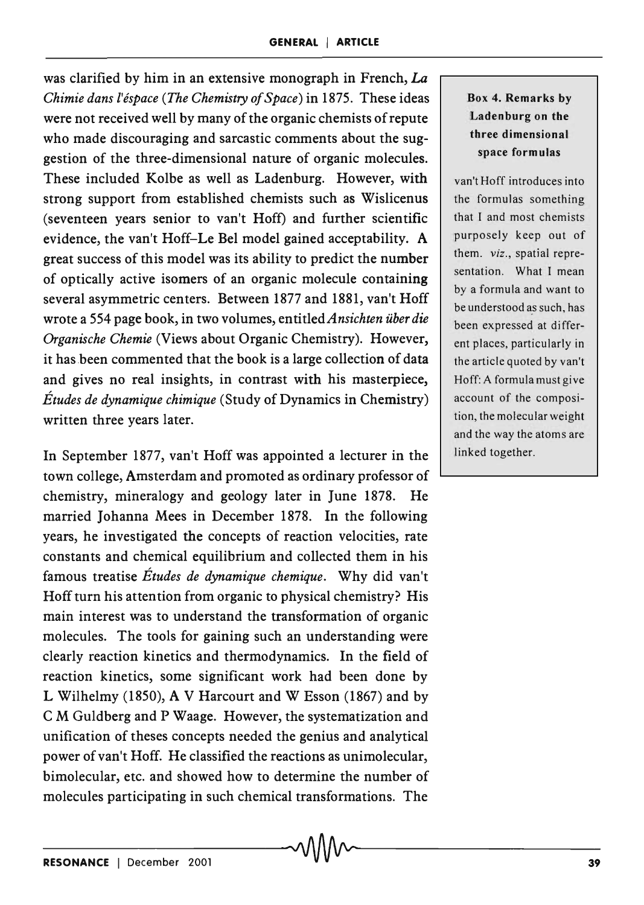was clarified by him in an extensive monograph in French, La *Chimie dans l'espace (The Chemistry of Space)* in 1875. These ideas were not received well by many of the organic chemists of repute who made discouraging and sarcastic comments about the suggestion of the three-dimensional nature of organic molecules. These included Kolbe as well as Ladenburg. However, with strong support from established chemists such as Wislicenus (seventeen years senior to van't Hoff) and further scientific evidence, the van't Hoff-Le Bel model gained acceptability. A great success of this model was its ability to predict the number of optically active isomers of an organic molecule containing several asymmetric centers. Between 1877 and 1881, van't Hoff wrote a 554 page book, in two volumes, *entitledAnsichten ilberdie Organische Chemie* (Views about Organic Chemistry). However, it has been commented that the book is a large collection of data and gives no real insights, in contrast with his masterpiece, *Etudes de dynamique chimique* (Study of Dynamics in Chemistry) written three years later.

In September 1877, van't Hoff was appointed a lecturer in the town college, Amsterdam and promoted as ordinary professor of chemistry, mineralogy and geology later in June 1878. He married Johanna Mees in December 1878. In the following years, he investigated the concepts of reaction velocities, rate constants and chemical equilibrium and collected them in his famous treatise *Etudes de dynamique chemique.* Why did van't Hoff turn his attention from organic to physical chemistry? His main interest was to understand the transformation of organic molecules. The tools for gaining such an understanding were clearly reaction kinetics and thermodynamics. In the field of reaction kinetics, some significant work had been done by L Wilhelmy (1850), A V Harcourt and WEsson (1867) and by C M Guldberg and P Waage. However, the systematization and unification of theses concepts needed the genius and analytical power of van't Hoff. He classified the reactions as unimolecular, bimolecular, etc. and showed how to determine the number of molecules participating in such chemical transformations. The

## Box 4. Remarks by Ladenburg on the three dimensional space formulas

van't Hoff introduces into the formulas something that I and most chemists purposely keep out of them. *viz.,* spatial representation. What I mean by a formula and want to be understood as such, has been expressed at different places, particularly in the article quoted by van't Hoff: A formula must give account of the composition, the molecular weight and the way the atoms are linked together.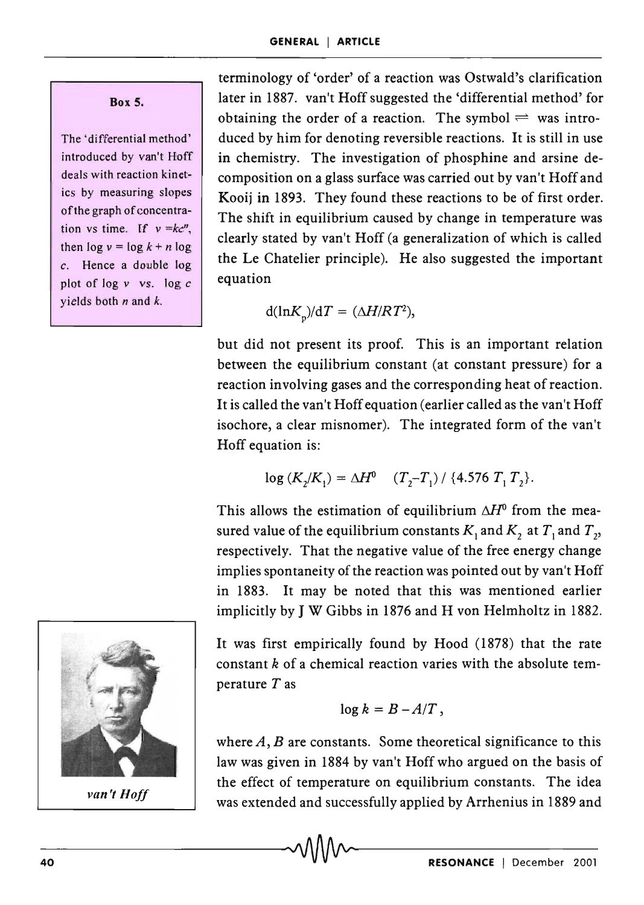Box 5.

The 'differential method' introduced by van't Hoff deals with reaction kinetics by measuring slopes of the graph of concentration vs time. If  $v = kc^n$ , then  $\log v = \log k + n \log$ *c.* Hence a double log plot of log v vs. log *c*  yields both  $n$  and  $k$ .

terminology of 'order' of a reaction was Ostwald's clarification later in 1887. van't Hoff suggested the 'differential method' for obtaining the order of a reaction. The symbol  $\rightleftharpoons$  was introduced by him for denoting reversible reactions. It is still in use in chemistry. The investigation of phosphine and arsine decomposition on a glass surface was carried out by van't Hoff and Kooij in 1893. They found these reactions to be of first order. The shift in equilibrium caused by change in temperature was clearly stated by van't Hoff (a generalization of which is called the Le Chatelier principle). He also suggested the important equation

$$
d(\ln K_p)/dT = (\Delta H/RT^2),
$$

but did not present its proof. This is an important relation between the equilibrium constant (at constant pressure) for a reaction involving gases and the corresponding heat of reaction. It is called the van't Hoff equation (earlier called as the van't Hoff isochore, a clear misnomer). The integrated form of the van't Hoff equation is:

$$
\log (K_2/K_1) = \Delta H^0 \quad (T_2 - T_1) / \{4.576 \ T_1 T_2\}.
$$

This allows the estimation of equilibrium  $\Delta H^0$  from the measured value of the equilibrium constants  $K_1$  and  $K_2$  at  $T_1$  and  $T_2$ , respectively. That the negative value of the free energy change implies spontaneity of the reaction was pointed out by van't Hoff in 1883. It may be noted that this was mentioned earlier implicitly by J W Gibbs in 1876 and H von Helmholtz in 1882.



van't *Hoff* 

It was first empirically found by Hood (1878) that the rate constant *k* of a chemical reaction varies with the absolute temperature  $T$  as

$$
\log k = B - A/T,
$$

where  $A, B$  are constants. Some theoretical significance to this law was given in 1884 by van't Hoff who argued on the basis of the effect of temperature on equilibrium constants. The idea was extended and successfully applied by Arrhenius in 1889 and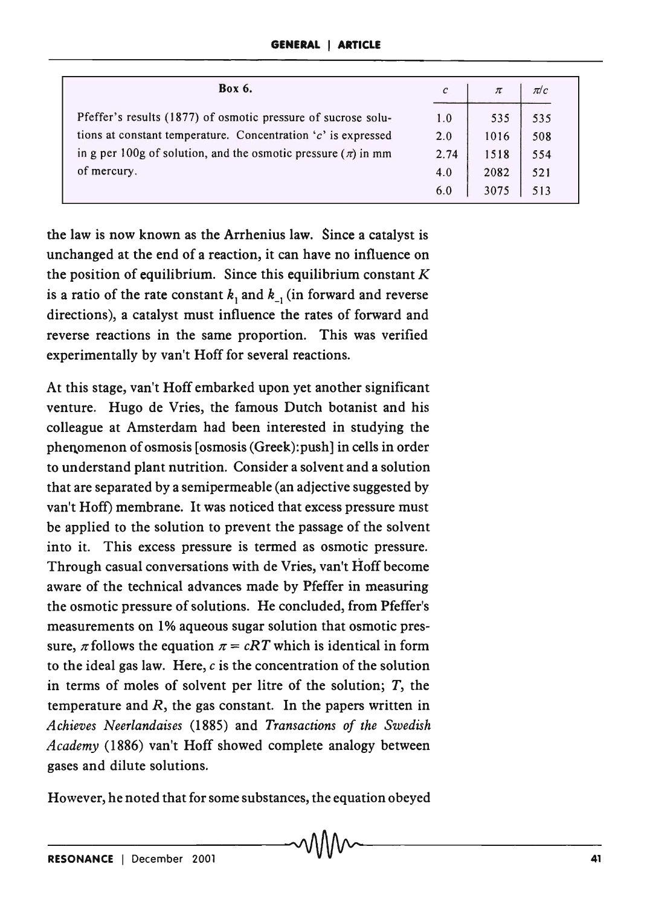| <b>Box 6.</b>                                                     | $\mathcal{C}$ | $\pi$ | $\pi$ / $c$ |
|-------------------------------------------------------------------|---------------|-------|-------------|
| Pfeffer's results (1877) of osmotic pressure of sucrose solu-     | 1.0           | 535   | 535         |
| tions at constant temperature. Concentration $c'$ is expressed    | 2.0           | 1016  | 508         |
| in g per 100g of solution, and the osmotic pressure $(\pi)$ in mm | 2.74          | 1518  | 554         |
| of mercury.                                                       | 4.0           | 2082  | 521         |
|                                                                   | 6.0           | 3075  | 513         |

the law is now known as the Arrhenius law. Since a catalyst is unchanged at the end of a reaction, it can have no influence on the position of equilibrium. Since this equilibrium constant  $K$ is a ratio of the rate constant  $k_1$  and  $k_2$  (in forward and reverse directions), a catalyst must influence the rates of forward and reverse reactions in the same proportion. This was verified experimentally by van't Hoff for several reactions.

At this stage, van't Hoff embarked upon yet another significant venture. Hugo de Vries, the famous Dutch botanist and his colleague at Amsterdam had been interested in studying the phenomenon of osmosis [osmosis (Greek): push] in cells in order to understand plant nutrition. Consider a solvent and a solution that are separated by a semipermeable (an adjective suggested by van't Hoff) membrane. It was noticed that excess pressure must be applied to the solution to prevent the passage of the solvent into it. This excess pressure is termed as osmotic pressure. Through casual conversations with de Vries, van't Hoff become aware of the technical advances made by Pfeffer in measuring the osmotic pressure of solutions. He concluded, from Pfeffer's measurements on 1% aqueous sugar solution that osmotic pressure,  $\pi$  follows the equation  $\pi = cRT$  which is identical in form to the ideal gas law. Here,  $c$  is the concentration of the solution in terms of moles of solvent per litre of the solution;  $T$ , the temperature and *R,* the gas constant. In the papers written in *Achieves Neerlandaises* (1885) and *Transactions of the Swedish Academy* (1886) van't Hoff showed complete analogy between gases and dilute solutions.

However, he noted that for some substances, the equation obeyed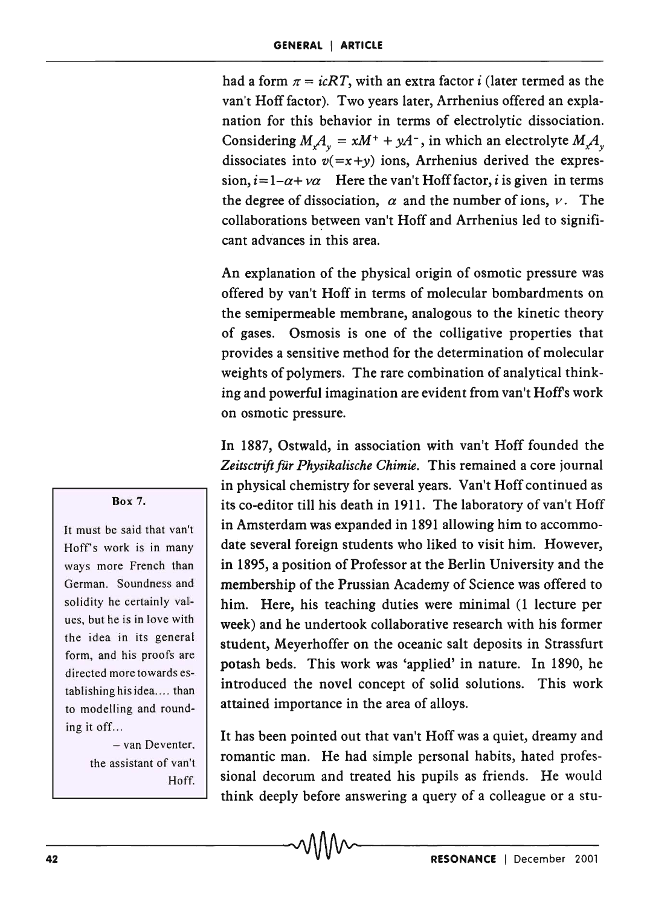had a form  $\pi = i cRT$ , with an extra factor i (later termed as the van't Hoff factor). Two years later, Arrhenius offered an explanation for this behavior in terms of electrolytic dissociation. Considering  $M_x A_y = xM^+ + yA^-$ , in which an electrolyte  $M_x A_y$ dissociates into  $v(=x+y)$  ions, Arrhenius derived the expres $sion, i=1-\alpha+\nu\alpha$  Here the van't Hoff factor, *i* is given in terms the degree of dissociation,  $\alpha$  and the number of ions,  $\nu$ . The collaborations between van't Hoff and Arrhenius led to significant advances in this area.

An explanation of the physical origin of osmotic pressure was offered by van't Hoff in terms of molecular bombardments on the semipermeable membrane, analogous to the kinetic theory of gases. Osmosis is one of the colligative properties that provides a sensitive method for the determination of molecular weights of polymers. The rare combination of analytical thinking and powerful imagination are evident from van't Hoffs work on osmotic pressure.

In 1887, Ostwald, in association with van't Hoff founded the Zeitsctrift für Physikalische Chimie. This remained a core journal in physical chemistry for several years. Van't Hoff continued as its co-editor till his death in 1911. The laboratory of van't Hoff in Amsterdam was expanded in 1891 allowing him to accommodate several foreign students who liked to visit him. However, in 1895, a position of Professor at the Berlin University and the membership of the Prussian Academy of Science was offered to him. Here, his teaching duties were minimal (1 lecture per week) and he undertook collaborative research with his former student, Meyerhoffer on the oceanic salt deposits in Strassfurt potash beds. This work was 'applied' in nature. In 1890, he introduced the novel concept of solid solutions. This work attained importance in the area of alloys.

It has been pointed out that van't Hoff was a quiet, dreamy and romantic man. He had simple personal habits, hated professional decorum and treated his pupils as friends. He would think deeply before answering a query of a colleague or a stu-

#### Box 7.

It must be said that van't Hoff's work is in many ways more French than German. Soundness and solidity he certainly values, but he is in love with the idea in its general form, and his proofs are directed more towards establishing his idea.... than to modelling and rounding it off...

> - van Deventer. the assistant of van't Hoff.